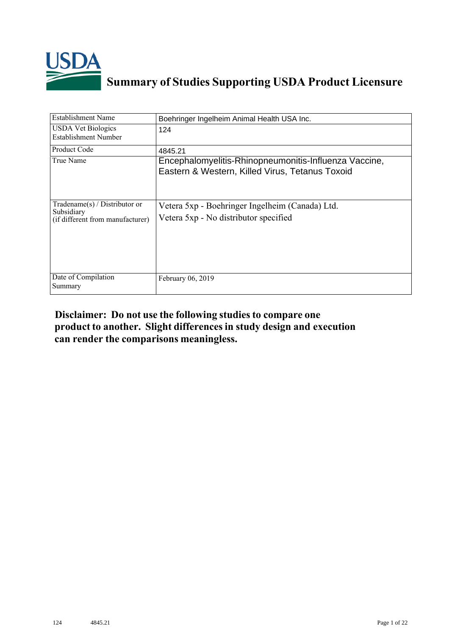

# **Summary of Studies Supporting USDA Product Licensure**

| <b>Establishment Name</b>                                                       | Boehringer Ingelheim Animal Health USA Inc.                                                              |
|---------------------------------------------------------------------------------|----------------------------------------------------------------------------------------------------------|
| <b>USDA Vet Biologics</b><br>Establishment Number                               | 124                                                                                                      |
| Product Code                                                                    | 4845.21                                                                                                  |
| True Name                                                                       | Encephalomyelitis-Rhinopneumonitis-Influenza Vaccine,<br>Eastern & Western, Killed Virus, Tetanus Toxoid |
| Tradename(s) / Distributor or<br>Subsidiary<br>(if different from manufacturer) | Vetera 5xp - Boehringer Ingelheim (Canada) Ltd.<br>Vetera 5xp - No distributor specified                 |
| Date of Compilation<br>Summary                                                  | February 06, 2019                                                                                        |

## **Disclaimer: Do not use the following studiesto compare one product to another. Slight differencesin study design and execution can render the comparisons meaningless.**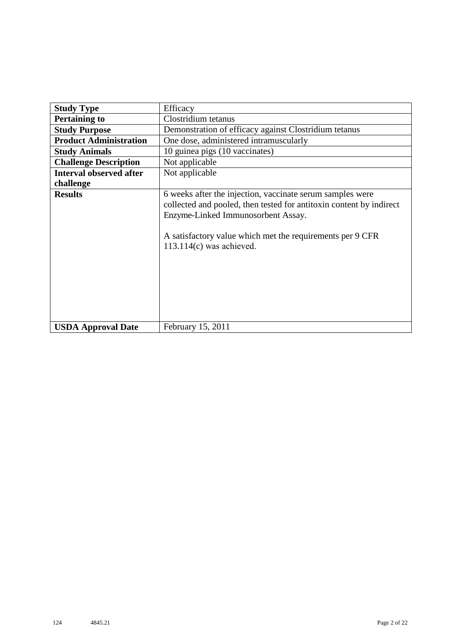| <b>Study Type</b>              | Efficacy                                                                                                                                                                                                                                                          |
|--------------------------------|-------------------------------------------------------------------------------------------------------------------------------------------------------------------------------------------------------------------------------------------------------------------|
| <b>Pertaining to</b>           | Clostridium tetanus                                                                                                                                                                                                                                               |
| <b>Study Purpose</b>           | Demonstration of efficacy against Clostridium tetanus                                                                                                                                                                                                             |
| <b>Product Administration</b>  | One dose, administered intramuscularly                                                                                                                                                                                                                            |
| <b>Study Animals</b>           | 10 guinea pigs (10 vaccinates)                                                                                                                                                                                                                                    |
| <b>Challenge Description</b>   | Not applicable                                                                                                                                                                                                                                                    |
| <b>Interval observed after</b> | Not applicable                                                                                                                                                                                                                                                    |
| challenge                      |                                                                                                                                                                                                                                                                   |
| <b>Results</b>                 | 6 weeks after the injection, vaccinate serum samples were<br>collected and pooled, then tested for antitoxin content by indirect<br>Enzyme-Linked Immunosorbent Assay.<br>A satisfactory value which met the requirements per 9 CFR<br>$113.114(c)$ was achieved. |
| <b>USDA Approval Date</b>      | February 15, 2011                                                                                                                                                                                                                                                 |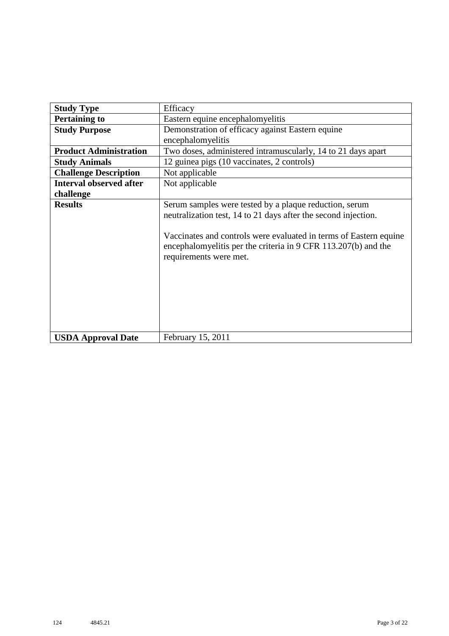| <b>Study Type</b>              | Efficacy                                                                                                                                                                                                                                                                                  |
|--------------------------------|-------------------------------------------------------------------------------------------------------------------------------------------------------------------------------------------------------------------------------------------------------------------------------------------|
| <b>Pertaining to</b>           | Eastern equine encephalomyelitis                                                                                                                                                                                                                                                          |
| <b>Study Purpose</b>           | Demonstration of efficacy against Eastern equine                                                                                                                                                                                                                                          |
|                                | encephalomyelitis                                                                                                                                                                                                                                                                         |
| <b>Product Administration</b>  | Two doses, administered intramuscularly, 14 to 21 days apart                                                                                                                                                                                                                              |
| <b>Study Animals</b>           | 12 guinea pigs (10 vaccinates, 2 controls)                                                                                                                                                                                                                                                |
| <b>Challenge Description</b>   | Not applicable                                                                                                                                                                                                                                                                            |
| <b>Interval observed after</b> | Not applicable                                                                                                                                                                                                                                                                            |
| challenge                      |                                                                                                                                                                                                                                                                                           |
| <b>Results</b>                 | Serum samples were tested by a plaque reduction, serum<br>neutralization test, 14 to 21 days after the second injection.<br>Vaccinates and controls were evaluated in terms of Eastern equine<br>encephalomyelitis per the criteria in 9 CFR 113.207(b) and the<br>requirements were met. |
| <b>USDA Approval Date</b>      | February 15, 2011                                                                                                                                                                                                                                                                         |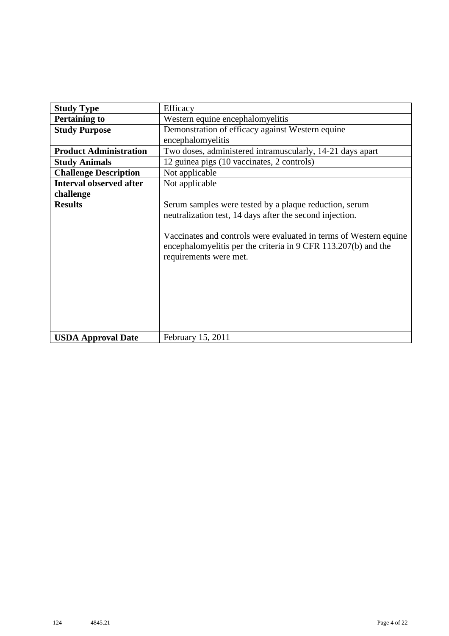| <b>Study Type</b>              | Efficacy                                                                                                                                                                                                                                                                            |
|--------------------------------|-------------------------------------------------------------------------------------------------------------------------------------------------------------------------------------------------------------------------------------------------------------------------------------|
| <b>Pertaining to</b>           | Western equine encephalomyelitis                                                                                                                                                                                                                                                    |
| <b>Study Purpose</b>           | Demonstration of efficacy against Western equine                                                                                                                                                                                                                                    |
|                                | encephalomyelitis                                                                                                                                                                                                                                                                   |
| <b>Product Administration</b>  | Two doses, administered intramuscularly, 14-21 days apart                                                                                                                                                                                                                           |
| <b>Study Animals</b>           | 12 guinea pigs (10 vaccinates, 2 controls)                                                                                                                                                                                                                                          |
| <b>Challenge Description</b>   | Not applicable                                                                                                                                                                                                                                                                      |
| <b>Interval observed after</b> | Not applicable                                                                                                                                                                                                                                                                      |
| challenge                      |                                                                                                                                                                                                                                                                                     |
| <b>Results</b>                 | Serum samples were tested by a plaque reduction, serum<br>neutralization test, 14 days after the second injection.<br>Vaccinates and controls were evaluated in terms of Western equine<br>encephalomyelitis per the criteria in 9 CFR 113.207(b) and the<br>requirements were met. |
| <b>USDA Approval Date</b>      | February 15, 2011                                                                                                                                                                                                                                                                   |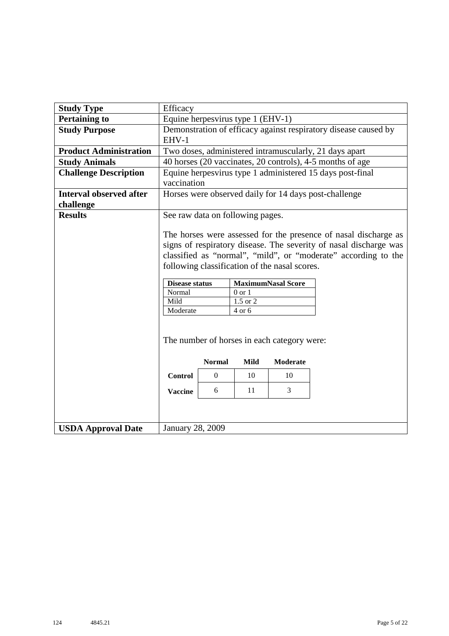| <b>Pertaining to</b><br><b>Study Purpose</b> | EHV-1                           |                                                                                                                                                                                                                                                         |                                               |                                                                      |  |  |  |  |  |  |  |  |  |  |
|----------------------------------------------|---------------------------------|---------------------------------------------------------------------------------------------------------------------------------------------------------------------------------------------------------------------------------------------------------|-----------------------------------------------|----------------------------------------------------------------------|--|--|--|--|--|--|--|--|--|--|
|                                              |                                 |                                                                                                                                                                                                                                                         | Efficacy<br>Equine herpesvirus type 1 (EHV-1) |                                                                      |  |  |  |  |  |  |  |  |  |  |
|                                              |                                 | Demonstration of efficacy against respiratory disease caused by                                                                                                                                                                                         |                                               |                                                                      |  |  |  |  |  |  |  |  |  |  |
| <b>Product Administration</b>                |                                 | Two doses, administered intramuscularly, 21 days apart                                                                                                                                                                                                  |                                               |                                                                      |  |  |  |  |  |  |  |  |  |  |
| <b>Study Animals</b>                         |                                 | 40 horses (20 vaccinates, 20 controls), 4-5 months of age                                                                                                                                                                                               |                                               |                                                                      |  |  |  |  |  |  |  |  |  |  |
| <b>Challenge Description</b>                 |                                 | Equine herpesvirus type 1 administered 15 days post-final<br>vaccination                                                                                                                                                                                |                                               |                                                                      |  |  |  |  |  |  |  |  |  |  |
| <b>Interval observed after</b><br>challenge  |                                 | Horses were observed daily for 14 days post-challenge                                                                                                                                                                                                   |                                               |                                                                      |  |  |  |  |  |  |  |  |  |  |
| <b>Results</b>                               |                                 | See raw data on following pages.                                                                                                                                                                                                                        |                                               |                                                                      |  |  |  |  |  |  |  |  |  |  |
|                                              |                                 | The horses were assessed for the presence of nasal discharge as<br>signs of respiratory disease. The severity of nasal discharge was<br>classified as "normal", "mild", or "moderate" according to the<br>following classification of the nasal scores. |                                               |                                                                      |  |  |  |  |  |  |  |  |  |  |
|                                              | <b>Disease status</b><br>Normal |                                                                                                                                                                                                                                                         | $0$ or $1$                                    | <b>MaximumNasal Score</b>                                            |  |  |  |  |  |  |  |  |  |  |
|                                              | Mild                            |                                                                                                                                                                                                                                                         | $1.5$ or $2$                                  |                                                                      |  |  |  |  |  |  |  |  |  |  |
|                                              | Moderate                        |                                                                                                                                                                                                                                                         | $4$ or $6$                                    |                                                                      |  |  |  |  |  |  |  |  |  |  |
|                                              | <b>Control</b>                  | <b>Normal</b><br>$\overline{0}$                                                                                                                                                                                                                         | Mild<br>10                                    | The number of horses in each category were:<br><b>Moderate</b><br>10 |  |  |  |  |  |  |  |  |  |  |
|                                              | 3<br>11<br>6<br><b>Vaccine</b>  |                                                                                                                                                                                                                                                         |                                               |                                                                      |  |  |  |  |  |  |  |  |  |  |
| <b>USDA Approval Date</b>                    | January 28, 2009                |                                                                                                                                                                                                                                                         |                                               |                                                                      |  |  |  |  |  |  |  |  |  |  |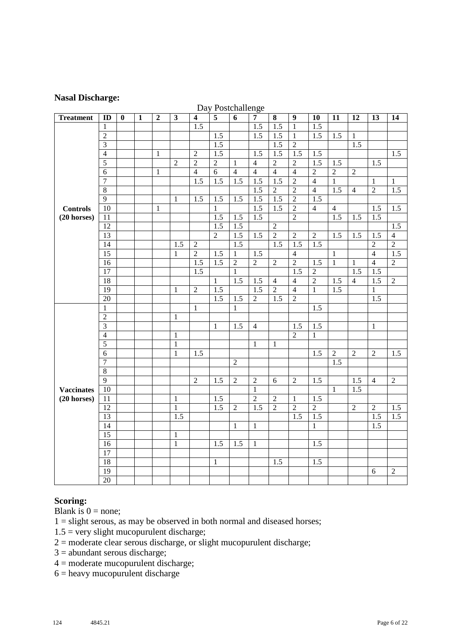#### **Nasal Discharge:**

|                   |                         |          |              |                |                |                         | Day Postchallenge |                  |                  |                  |                  |                  |                  |                  |                  |                |
|-------------------|-------------------------|----------|--------------|----------------|----------------|-------------------------|-------------------|------------------|------------------|------------------|------------------|------------------|------------------|------------------|------------------|----------------|
| <b>Treatment</b>  | ID                      | $\bf{0}$ | $\mathbf{1}$ | $\overline{2}$ | $\mathbf{3}$   | $\overline{\mathbf{4}}$ | $\overline{5}$    | $\overline{6}$   | $\overline{7}$   | 8                | $\boldsymbol{9}$ | 10               | 11               | 12               | 13               | 14             |
|                   | $\mathbf{1}$            |          |              |                |                | $\overline{1.5}$        |                   |                  | $\overline{1.5}$ | $\overline{1.5}$ | $\mathbf{1}$     | $\overline{1.5}$ |                  |                  |                  |                |
|                   | $\overline{2}$          |          |              |                |                |                         | 1.5               |                  | $\overline{1.5}$ | $\overline{1.5}$ | $\mathbf{1}$     | $\overline{1.5}$ | 1.5              | $\mathbf{1}$     |                  |                |
|                   | $\overline{3}$          |          |              |                |                |                         | $\overline{1.5}$  |                  |                  | $\overline{1.5}$ | $\overline{2}$   |                  |                  | 1.5              |                  |                |
|                   | $\overline{4}$          |          |              | $\mathbf{1}$   |                | $\overline{2}$          | 1.5               |                  | 1.5              | 1.5              | 1.5              | 1.5              |                  |                  |                  | 1.5            |
|                   | $\overline{5}$          |          |              |                | $\overline{2}$ | $\overline{2}$          | $\overline{2}$    | $\mathbf{1}$     | $\overline{4}$   | $\overline{2}$   | $\overline{2}$   | 1.5              | 1.5              |                  | 1.5              |                |
|                   | $\overline{6}$          |          |              | $\mathbf{1}$   |                | $\overline{4}$          | $\overline{6}$    | $\overline{4}$   | $\overline{4}$   | $\overline{4}$   | $\overline{4}$   | $\overline{2}$   | $\overline{2}$   | $\overline{2}$   |                  |                |
|                   | $\overline{7}$          |          |              |                |                | 1.5                     | 1.5               | 1.5              | 1.5              | 1.5              | $\overline{2}$   | $\overline{4}$   | $\mathbf{1}$     |                  | $\mathbf{1}$     | $\mathbf{1}$   |
|                   | $\overline{8}$          |          |              |                |                |                         |                   |                  | 1.5              | $\overline{2}$   | $\overline{2}$   | $\overline{4}$   | $\overline{1.5}$ | $\overline{4}$   | $\overline{2}$   | 1.5            |
|                   | $\overline{9}$          |          |              |                | 1              | 1.5                     | $\overline{1.5}$  | $\overline{1.5}$ | $\overline{1.5}$ | $\overline{1.5}$ | $\overline{2}$   | $\overline{1.5}$ |                  |                  |                  |                |
| <b>Controls</b>   | $\overline{10}$         |          |              | $\mathbf{1}$   |                |                         | $\mathbf{1}$      |                  | 1.5              | 1.5              | $\overline{2}$   | $\overline{4}$   | $\overline{4}$   |                  | 1.5              | 1.5            |
| $(20$ horses)     | 11                      |          |              |                |                |                         | 1.5               | 1.5              | $\overline{1.5}$ |                  | $\overline{2}$   |                  | $\overline{1.5}$ | 1.5              | 1.5              |                |
|                   | 12                      |          |              |                |                |                         | 1.5               | $\overline{1.5}$ |                  | $\overline{2}$   |                  |                  |                  |                  |                  | 1.5            |
|                   | $\overline{13}$         |          |              |                |                |                         | $\overline{2}$    | $\overline{1.5}$ | $\overline{1.5}$ | $\overline{2}$   | $\overline{2}$   | $\overline{2}$   | 1.5              | $\overline{1.5}$ | $\overline{1.5}$ | $\overline{4}$ |
|                   | 14                      |          |              |                | 1.5            | $\mathfrak{2}$          |                   | 1.5              |                  | 1.5              | 1.5              | 1.5              |                  |                  | $\overline{c}$   | $\overline{2}$ |
|                   | $\overline{15}$         |          |              |                | $\mathbf{1}$   | $\overline{2}$          | $\overline{1.5}$  | $\mathbf{1}$     | 1.5              |                  | $\overline{4}$   |                  | $\mathbf{1}$     |                  | $\overline{4}$   | 1.5            |
|                   | $\overline{16}$         |          |              |                |                | 1.5                     | 1.5               | $\overline{2}$   | $\overline{2}$   | $\overline{2}$   | $\overline{2}$   | 1.5              | $\overline{1}$   | 1                | $\overline{4}$   | $\overline{2}$ |
|                   | $\overline{17}$         |          |              |                |                | $\overline{1.5}$        |                   | $\mathbf{1}$     |                  |                  | $\overline{1.5}$ | $\overline{2}$   |                  | 1.5              | $\overline{1.5}$ |                |
|                   | $\overline{18}$         |          |              |                |                |                         | $\mathbf{1}$      | 1.5              | 1.5              | $\overline{4}$   | $\overline{4}$   | $\overline{2}$   | 1.5              | $\overline{4}$   | 1.5              | $\overline{2}$ |
|                   | $\overline{19}$         |          |              |                | 1              | $\sqrt{2}$              | 1.5               |                  | 1.5              | $\overline{2}$   | $\overline{4}$   | $\mathbf{1}$     | 1.5              |                  | 1                |                |
|                   | $\overline{20}$         |          |              |                |                |                         | $\overline{1.5}$  | 1.5              | $\overline{2}$   | 1.5              | $\overline{2}$   |                  |                  |                  | 1.5              |                |
|                   | $\mathbf{1}$            |          |              |                |                | $\mathbf{1}$            |                   | $\mathbf{1}$     |                  |                  |                  | 1.5              |                  |                  |                  |                |
|                   | $\overline{2}$          |          |              |                | $\mathbf{1}$   |                         |                   |                  |                  |                  |                  |                  |                  |                  |                  |                |
|                   | $\overline{\mathbf{3}}$ |          |              |                |                |                         | $\mathbf{1}$      | 1.5              | $\overline{4}$   |                  | 1.5              | 1.5              |                  |                  | $\mathbf{1}$     |                |
|                   | $\overline{4}$          |          |              |                | 1              |                         |                   |                  |                  |                  | $\overline{2}$   | $\mathbf{1}$     |                  |                  |                  |                |
|                   | $\overline{5}$          |          |              |                | $\mathbf{1}$   |                         |                   |                  | $\mathbf{1}$     | $\mathbf{1}$     |                  |                  |                  |                  |                  |                |
|                   | $\sqrt{6}$              |          |              |                | $\mathbf{1}$   | 1.5                     |                   |                  |                  |                  |                  | $\overline{1.5}$ | $\overline{2}$   | $\mathfrak{D}$   | $\overline{2}$   | 1.5            |
|                   | $\overline{7}$          |          |              |                |                |                         |                   | $\overline{2}$   |                  |                  |                  |                  | 1.5              |                  |                  |                |
|                   | 8                       |          |              |                |                |                         |                   |                  |                  |                  |                  |                  |                  |                  |                  |                |
|                   | $\overline{9}$          |          |              |                |                | $\sqrt{2}$              | 1.5               | $\sqrt{2}$       | $\sqrt{2}$       | 6                | $\sqrt{2}$       | 1.5              |                  | 1.5              | $\overline{4}$   | $\sqrt{2}$     |
| <b>Vaccinates</b> | $10\,$                  |          |              |                |                |                         |                   |                  | $\mathbf{1}$     |                  |                  |                  | 1                | $\overline{1.5}$ |                  |                |
| $(20$ horses)     | 11                      |          |              |                | $\mathbf{1}$   |                         | 1.5               |                  | $\overline{2}$   | $\overline{2}$   | 1                | $\overline{1.5}$ |                  |                  |                  |                |
|                   | 12                      |          |              |                | $\mathbf{1}$   |                         | $\overline{1.5}$  | $\overline{2}$   | 1.5              | $\overline{2}$   | $\overline{2}$   | $\overline{2}$   |                  | $\overline{2}$   | $\overline{2}$   | 1.5            |
|                   | 13                      |          |              |                | 1.5            |                         |                   |                  |                  |                  | 1.5              | 1.5              |                  |                  | 1.5              | 1.5            |
|                   | 14                      |          |              |                |                |                         |                   | $\mathbf{1}$     | $\mathbf{1}$     |                  |                  | $\mathbf{1}$     |                  |                  | 1.5              |                |
|                   | $\overline{15}$         |          |              |                | $\mathbf{1}$   |                         |                   |                  |                  |                  |                  |                  |                  |                  |                  |                |
|                   | $\overline{16}$         |          |              |                | $\mathbf{1}$   |                         | 1.5               | 1.5              | 1                |                  |                  | $1.\overline{5}$ |                  |                  |                  |                |
|                   | 17                      |          |              |                |                |                         |                   |                  |                  |                  |                  |                  |                  |                  |                  |                |
|                   | 18                      |          |              |                |                |                         | $\mathbf{1}$      |                  |                  | 1.5              |                  | 1.5              |                  |                  |                  |                |
|                   | 19                      |          |              |                |                |                         |                   |                  |                  |                  |                  |                  |                  |                  | 6                | $\sqrt{2}$     |
|                   | $\overline{20}$         |          |              |                |                |                         |                   |                  |                  |                  |                  |                  |                  |                  |                  |                |

#### Day Postchallenge

#### **Scoring:**

Blank is  $0 = none$ ;

1 = slight serous, as may be observed in both normal and diseased horses;

- $1.5$  = very slight mucopurulent discharge;
- $2 =$  moderate clear serous discharge, or slight mucopurulent discharge;
- 3 = abundant serous discharge;
- 4 = moderate mucopurulent discharge;
- = heavy mucopurulent discharge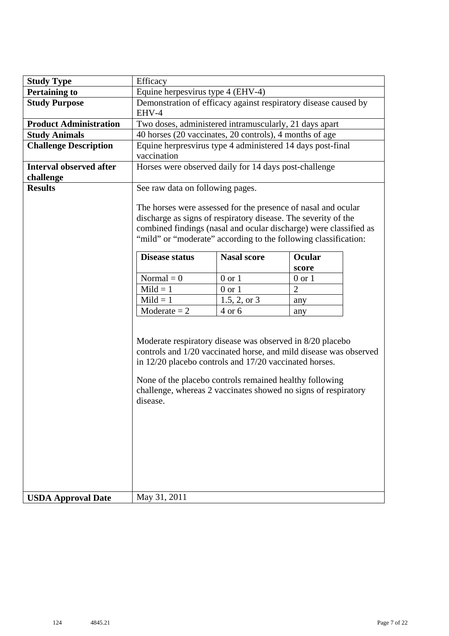| <b>Study Type</b>                           | Efficacy                                                                                                                                                                                                                                                                                                                          |                |     |  |  |  |  |  |  |  |  |  |  |
|---------------------------------------------|-----------------------------------------------------------------------------------------------------------------------------------------------------------------------------------------------------------------------------------------------------------------------------------------------------------------------------------|----------------|-----|--|--|--|--|--|--|--|--|--|--|
| <b>Pertaining to</b>                        | Equine herpesvirus type 4 (EHV-4)<br>Demonstration of efficacy against respiratory disease caused by                                                                                                                                                                                                                              |                |     |  |  |  |  |  |  |  |  |  |  |
| <b>Study Purpose</b>                        | EHV-4<br>Two doses, administered intramuscularly, 21 days apart<br>40 horses (20 vaccinates, 20 controls), 4 months of age                                                                                                                                                                                                        |                |     |  |  |  |  |  |  |  |  |  |  |
| <b>Product Administration</b>               |                                                                                                                                                                                                                                                                                                                                   |                |     |  |  |  |  |  |  |  |  |  |  |
| <b>Study Animals</b>                        |                                                                                                                                                                                                                                                                                                                                   |                |     |  |  |  |  |  |  |  |  |  |  |
| <b>Challenge Description</b>                | Equine herpresvirus type 4 administered 14 days post-final<br>vaccination                                                                                                                                                                                                                                                         |                |     |  |  |  |  |  |  |  |  |  |  |
| <b>Interval observed after</b><br>challenge | Horses were observed daily for 14 days post-challenge                                                                                                                                                                                                                                                                             |                |     |  |  |  |  |  |  |  |  |  |  |
| <b>Results</b>                              | See raw data on following pages.                                                                                                                                                                                                                                                                                                  |                |     |  |  |  |  |  |  |  |  |  |  |
|                                             | The horses were assessed for the presence of nasal and ocular<br>discharge as signs of respiratory disease. The severity of the<br>combined findings (nasal and ocular discharge) were classified as<br>"mild" or "moderate" according to the following classification:                                                           |                |     |  |  |  |  |  |  |  |  |  |  |
|                                             | <b>Nasal score</b><br>Ocular<br><b>Disease status</b>                                                                                                                                                                                                                                                                             |                |     |  |  |  |  |  |  |  |  |  |  |
|                                             | score                                                                                                                                                                                                                                                                                                                             |                |     |  |  |  |  |  |  |  |  |  |  |
|                                             | Normal $= 0$<br>$0$ or $1$<br>$0$ or $1$                                                                                                                                                                                                                                                                                          |                |     |  |  |  |  |  |  |  |  |  |  |
|                                             | $Mild = 1$<br>$0$ or $1$<br>$\overline{2}$                                                                                                                                                                                                                                                                                        |                |     |  |  |  |  |  |  |  |  |  |  |
|                                             | $Mild = 1$                                                                                                                                                                                                                                                                                                                        | $1.5, 2,$ or 3 | any |  |  |  |  |  |  |  |  |  |  |
|                                             | $Modernate = 2$                                                                                                                                                                                                                                                                                                                   | $4$ or $6$     | any |  |  |  |  |  |  |  |  |  |  |
|                                             | Moderate respiratory disease was observed in 8/20 placebo<br>controls and 1/20 vaccinated horse, and mild disease was observed<br>in 12/20 placebo controls and 17/20 vaccinated horses.<br>None of the placebo controls remained healthy following<br>challenge, whereas 2 vaccinates showed no signs of respiratory<br>disease. |                |     |  |  |  |  |  |  |  |  |  |  |
| <b>USDA Approval Date</b>                   | May 31, 2011                                                                                                                                                                                                                                                                                                                      |                |     |  |  |  |  |  |  |  |  |  |  |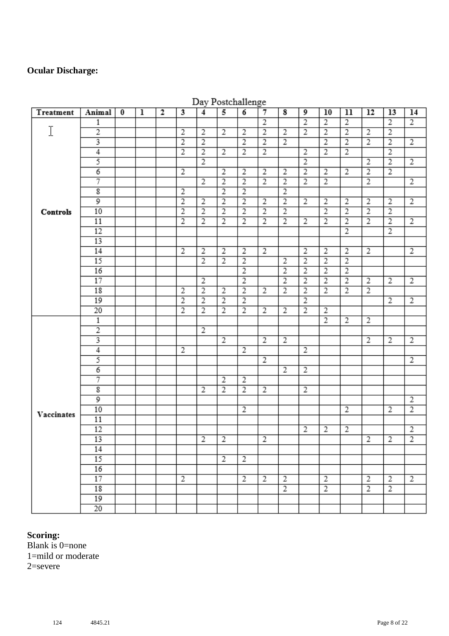#### **Ocular Discharge:**

| Treatment  | Animal                  | $\bf{0}$ | $\overline{1}$ | $\overline{2}$ | 3              | $\overline{4}$ | 5              | $\overline{6}$ | $\overline{7}$ | $\overline{\mathbf{8}}$ | 9              | 10             | 11             | 12             | 13             | 14             |
|------------|-------------------------|----------|----------------|----------------|----------------|----------------|----------------|----------------|----------------|-------------------------|----------------|----------------|----------------|----------------|----------------|----------------|
|            | 1                       |          |                |                |                |                |                |                | $\overline{2}$ |                         | $\overline{2}$ | $\overline{2}$ | $\overline{2}$ |                | $\overline{2}$ | $\overline{2}$ |
| I          | $\overline{2}$          |          |                |                | $\overline{2}$ | $\overline{2}$ | $\overline{2}$ | $\overline{2}$ | $\overline{2}$ | $\overline{2}$          | $\overline{2}$ | $\overline{2}$ | $\overline{2}$ | $\overline{2}$ | $\overline{2}$ |                |
|            | 3                       |          |                |                | $\overline{2}$ | $\overline{2}$ |                | $\overline{2}$ | $\overline{2}$ | $\overline{2}$          |                | $\overline{2}$ | $\overline{2}$ | $\overline{2}$ | $\overline{2}$ | $\overline{2}$ |
|            | $\overline{4}$          |          |                |                | $\overline{2}$ | $\overline{2}$ | $\overline{2}$ | $\overline{2}$ | $\overline{2}$ |                         | 2              | $\overline{2}$ | $\overline{2}$ |                | $\overline{2}$ |                |
|            | 5                       |          |                |                |                | $\overline{2}$ |                |                |                |                         | $\overline{2}$ |                |                | $\overline{2}$ | $\overline{2}$ | $\overline{2}$ |
|            | 6                       |          |                |                | $\overline{2}$ |                | $\overline{2}$ | $\overline{2}$ | $\overline{2}$ | $\overline{2}$          | $\overline{2}$ | $\overline{2}$ | $\overline{2}$ | $\overline{2}$ | $\overline{2}$ |                |
|            | 7                       |          |                |                |                | $\overline{2}$ | $\overline{2}$ | $\overline{2}$ | $\overline{2}$ | $\overline{2}$          | $\overline{2}$ | $\overline{2}$ |                | $\overline{2}$ |                | $\overline{2}$ |
|            | $\overline{\mathbf{g}}$ |          |                |                | $\overline{2}$ |                | $\overline{2}$ | $\overline{2}$ |                | $\overline{2}$          |                |                |                |                |                |                |
|            | 9                       |          |                |                | $\overline{2}$ | $\overline{2}$ | $\overline{2}$ | $\overline{2}$ | $\overline{2}$ | $\overline{2}$          | 2              | 2              | 2              | 2              | 2              | $\overline{2}$ |
| Controls   | 10                      |          |                |                | $\overline{2}$ | $\overline{2}$ | $\overline{2}$ | $\overline{2}$ | $\overline{2}$ | $\overline{2}$          |                | $\overline{2}$ | $\overline{2}$ | $\overline{2}$ | $\overline{2}$ |                |
|            | 11                      |          |                |                | $\overline{2}$ | $\overline{2}$ | $\overline{2}$ | $\overline{2}$ | $\overline{2}$ | $\overline{2}$          | $\overline{2}$ | $\overline{2}$ | $\overline{2}$ | $\overline{2}$ | $\overline{2}$ | $\overline{2}$ |
|            | 12                      |          |                |                |                |                |                |                |                |                         |                |                | $\overline{2}$ |                | $\overline{2}$ |                |
|            | 13                      |          |                |                |                |                |                |                |                |                         |                |                |                |                |                |                |
|            | 14                      |          |                |                | $\overline{2}$ | $\overline{2}$ | $\overline{2}$ | $\overline{2}$ | $\overline{2}$ |                         | $\overline{2}$ | $\overline{2}$ | $\overline{2}$ | $\overline{2}$ |                | 2              |
|            | 15                      |          |                |                |                | $\overline{2}$ | $\overline{2}$ | $\overline{2}$ |                | $\overline{2}$          | $\overline{2}$ | $\overline{2}$ | $\overline{2}$ |                |                |                |
|            | 16                      |          |                |                |                |                |                | $\overline{2}$ |                | $\overline{2}$          | $\overline{2}$ | $\overline{2}$ | $\overline{2}$ |                |                |                |
|            | 17                      |          |                |                |                | $\overline{2}$ |                | $\overline{2}$ |                | $\overline{2}$          | $\overline{2}$ | $\overline{2}$ | $\overline{2}$ | $\overline{2}$ | $\overline{2}$ | $\overline{2}$ |
|            | 18                      |          |                |                | $\overline{2}$ | $\overline{2}$ | $\overline{2}$ | $\overline{2}$ | $\overline{2}$ | $\overline{2}$          | $\overline{2}$ | $\overline{2}$ | $\overline{2}$ | $\overline{2}$ |                |                |
|            | 19                      |          |                |                | $\overline{2}$ | $\overline{2}$ | $\overline{2}$ | $\overline{2}$ |                |                         | $\overline{2}$ |                |                |                | $\overline{2}$ | $\overline{2}$ |
|            | 20                      |          |                |                | $\overline{2}$ | $\overline{2}$ | $\overline{2}$ | $\overline{2}$ | $\overline{2}$ | $\overline{2}$          | $\overline{2}$ | 2              |                |                |                |                |
|            | $\mathbbm{1}$           |          |                |                |                |                |                |                |                |                         |                | $\overline{2}$ | $\overline{2}$ | $\overline{2}$ |                |                |
|            | $\overline{2}$          |          |                |                |                | $\overline{2}$ |                |                |                |                         |                |                |                |                |                |                |
|            | 3                       |          |                |                |                |                | $\overline{2}$ |                | $\overline{2}$ | $\overline{c}$          |                |                |                | $\overline{2}$ | $\overline{2}$ | $\overline{2}$ |
|            | $\overline{4}$          |          |                |                | $\overline{2}$ |                |                | $\overline{2}$ |                |                         | 2              |                |                |                |                |                |
|            | 5                       |          |                |                |                |                |                |                | 2              |                         |                |                |                |                |                | 2              |
|            | 6                       |          |                |                |                |                |                |                |                | 2                       | $\overline{2}$ |                |                |                |                |                |
|            | 7                       |          |                |                |                |                | $\overline{2}$ | $\overline{2}$ |                |                         |                |                |                |                |                |                |
|            | $\overline{\textbf{g}}$ |          |                |                |                | $\overline{2}$ | $\overline{2}$ | $\overline{2}$ | $\overline{2}$ |                         | 2              |                |                |                |                |                |
|            | 9                       |          |                |                |                |                |                |                |                |                         |                |                |                |                |                | $\overline{2}$ |
| Vaccinates | 10                      |          |                |                |                |                |                | $\overline{2}$ |                |                         |                |                | $\overline{2}$ |                | 2              | $\overline{2}$ |
|            | 11                      |          |                |                |                |                |                |                |                |                         |                |                |                |                |                |                |
|            | 12                      |          |                |                |                |                |                |                |                |                         | $\overline{2}$ | 2              | 2              |                |                | $\overline{2}$ |
|            | 13                      |          |                |                |                | $\overline{2}$ | $\overline{2}$ |                | $\overline{2}$ |                         |                |                |                | $\overline{2}$ | $\overline{2}$ | $\overline{2}$ |
|            | 14                      |          |                |                |                |                |                |                |                |                         |                |                |                |                |                |                |
|            | 15                      |          |                |                |                |                | $\overline{2}$ | $\overline{2}$ |                |                         |                |                |                |                |                |                |
|            | 16                      |          |                |                |                |                |                |                |                |                         |                |                |                |                |                |                |
|            | 17                      |          |                |                | $\overline{2}$ |                |                | $\overline{2}$ | 2              | $\overline{c}$          |                | $\overline{2}$ |                | 2              | 2              | 2              |
|            | 18                      |          |                |                |                |                |                |                |                | $\overline{2}$          |                | $\overline{2}$ |                | $\overline{2}$ | 2              |                |
|            | 19                      |          |                |                |                |                |                |                |                |                         |                |                |                |                |                |                |
|            | 20                      |          |                |                |                |                |                |                |                |                         |                |                |                |                |                |                |

#### Dav Postchallenge

### **Scoring:**

Blank is 0=none 1=mild or moderate 2=severe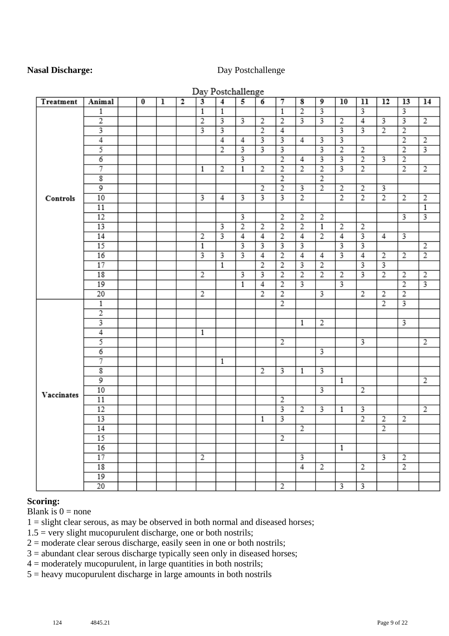#### **Nasal Discharge:** Day Postchallenge

|            |                         |          |   |              |                         | Day Postchallenge |                         |                         |                         |                |                         |                         |                         |                         |                         |                |
|------------|-------------------------|----------|---|--------------|-------------------------|-------------------|-------------------------|-------------------------|-------------------------|----------------|-------------------------|-------------------------|-------------------------|-------------------------|-------------------------|----------------|
| Treatment  | Animal                  | $\bf{0}$ | ı | $\mathbf{2}$ | $\overline{\mathbf{3}}$ | $\overline{4}$    | 5                       | 6                       | 7                       | 8              | 9                       | 10                      | 11                      | 12                      | 13                      | 14             |
|            | 1                       |          |   |              | $\overline{1}$          | $\overline{1}$    |                         |                         | $\overline{1}$          | $\overline{2}$ | 3                       |                         | 3                       |                         | 3                       |                |
|            | $\overline{2}$          |          |   |              | $\overline{2}$          | 3                 | 3                       | $\overline{2}$          | $\overline{2}$          | 3              | 3                       | 2                       | $\overline{4}$          | $\overline{\mathbf{3}}$ | $\overline{\mathbf{3}}$ | $\overline{2}$ |
|            | 3                       |          |   |              |                         | 3                 |                         | $\overline{2}$          | 4                       |                |                         | 3                       | $\overline{3}$          | $\overline{2}$          | $\overline{2}$          |                |
|            | $\overline{4}$          |          |   |              |                         | $\overline{4}$    | $\overline{4}$          |                         |                         | 4              | 3                       | $\overline{\mathbf{3}}$ |                         |                         | $\overline{2}$          | $\overline{2}$ |
|            | 5                       |          |   |              |                         | $\overline{2}$    | $\overline{\mathbf{3}}$ | $\overline{\mathbf{3}}$ | 3                       |                | 3                       | $\overline{2}$          | $\overline{2}$          |                         | $\overline{2}$          | 3              |
|            | $\overline{6}$          |          |   |              |                         |                   | $\overline{\mathbf{3}}$ |                         | $\overline{2}$          | $\overline{4}$ | 3                       |                         | $\overline{2}$          | $\overline{\mathbf{3}}$ | $\overline{2}$          |                |
|            | 7                       |          |   |              | $\mathbf{1}$            | $\overline{2}$    | $\mathbf{1}$            | $\overline{2}$          | $\overline{2}$          | $\overline{2}$ | $\overline{2}$          | $\overline{3}$          | $\overline{2}$          |                         | $\overline{2}$          | $\overline{2}$ |
|            | $\overline{\mathbf{g}}$ |          |   |              |                         |                   |                         |                         | $\overline{2}$          |                | $\overline{2}$          |                         |                         |                         |                         |                |
|            | 9                       |          |   |              |                         |                   |                         | $\overline{2}$          | $\overline{2}$          | 3              | $\overline{2}$          | $\overline{2}$          | 2                       | 3                       |                         |                |
| Controls   | 10                      |          |   |              | 3                       | 4                 | 3                       |                         |                         | $\overline{2}$ |                         | $\overline{2}$          | $\overline{2}$          | $\overline{2}$          | $\overline{2}$          | $\overline{2}$ |
|            | 11                      |          |   |              |                         |                   |                         |                         |                         |                |                         |                         |                         |                         |                         | $\mathbf{1}$   |
|            | 12                      |          |   |              |                         |                   | $\overline{\mathbf{3}}$ |                         | $\overline{2}$          | 2              | $\overline{2}$          |                         |                         |                         | 3                       | 3              |
|            | 13                      |          |   |              |                         | 3                 | $\overline{2}$          | $\overline{2}$          | $\overline{2}$          | $\overline{2}$ | $\overline{1}$          | $\overline{2}$          | $\overline{2}$          |                         |                         |                |
|            | 14                      |          |   |              | $\overline{2}$          | 3                 | $\overline{4}$          | $\overline{4}$          | $\overline{2}$          | $\overline{4}$ | $\overline{2}$          | $\overline{4}$          | $\overline{\mathbf{3}}$ | 4                       | 3                       |                |
|            | 15                      |          |   |              | 1                       |                   | 3                       | 3                       | 3                       | 3              |                         | 3                       | 3                       |                         |                         | $\overline{2}$ |
|            | 16                      |          |   |              | 3                       | 3                 | 3                       | 4                       | $\overline{2}$          | 4              | 4                       | 3                       | 4                       | $\overline{2}$          | $\overline{2}$          | $\overline{2}$ |
|            | 17                      |          |   |              |                         | $\overline{1}$    |                         | $\overline{2}$          | $\overline{2}$          | 3              | $\overline{2}$          |                         | 3                       | 3                       |                         |                |
|            | 18                      |          |   |              | 2                       |                   | 3                       | 3                       | $\overline{2}$          | $\overline{2}$ | $\overline{2}$          | $\overline{2}$          | 3                       | $\overline{2}$          | $\overline{2}$          | $\overline{2}$ |
|            | 19                      |          |   |              |                         |                   | 1                       | $\overline{4}$          | $\overline{2}$          | 3              |                         | 3                       |                         |                         | $\overline{2}$          |                |
|            | 20                      |          |   |              | 2                       |                   |                         | $\overline{2}$          | $\overline{2}$          |                | 3                       |                         | 2                       | $\overline{2}$          | $\overline{2}$          |                |
|            | $\mathbf{1}$            |          |   |              |                         |                   |                         |                         | $\overline{2}$          |                |                         |                         |                         | $\overline{2}$          |                         |                |
|            | $\overline{2}$          |          |   |              |                         |                   |                         |                         |                         |                |                         |                         |                         |                         |                         |                |
|            |                         |          |   |              |                         |                   |                         |                         |                         | 1              | 2                       |                         |                         |                         | 3                       |                |
|            | $\overline{4}$          |          |   |              | $\mathbf{1}$            |                   |                         |                         |                         |                |                         |                         |                         |                         |                         |                |
|            | 5                       |          |   |              |                         |                   |                         |                         | 2                       |                |                         |                         | 3                       |                         |                         | 2              |
|            | $\overline{6}$          |          |   |              |                         |                   |                         |                         |                         |                | $\overline{\mathbf{3}}$ |                         |                         |                         |                         |                |
|            | 7                       |          |   |              |                         | 1                 |                         |                         |                         |                |                         |                         |                         |                         |                         |                |
|            | $\overline{\mathbf{g}}$ |          |   |              |                         |                   |                         | $\overline{2}$          | 3                       | 1              |                         |                         |                         |                         |                         |                |
|            | $\overline{9}$          |          |   |              |                         |                   |                         |                         |                         |                |                         | $\mathbf{1}$            |                         |                         |                         | 2              |
| Vaccinates | 10                      |          |   |              |                         |                   |                         |                         |                         |                | $\overline{\mathbf{3}}$ |                         | $\overline{2}$          |                         |                         |                |
|            | 11                      |          |   |              |                         |                   |                         |                         | 2                       |                |                         |                         |                         |                         |                         |                |
|            | 12                      |          |   |              |                         |                   |                         |                         | 3                       | $\overline{2}$ | 3                       | 1                       | 3                       |                         |                         | $\overline{2}$ |
|            | 13                      |          |   |              |                         |                   |                         | $\mathbf{1}$            | $\overline{\mathbf{3}}$ |                |                         |                         | $\overline{2}$          | 2                       | $\overline{2}$          |                |
|            | 14                      |          |   |              |                         |                   |                         |                         |                         | $\overline{2}$ |                         |                         |                         | $\overline{2}$          |                         |                |
|            | 15                      |          |   |              |                         |                   |                         |                         | $\overline{2}$          |                |                         |                         |                         |                         |                         |                |
|            | 16                      |          |   |              |                         |                   |                         |                         |                         |                |                         | $\mathbf{1}$            |                         |                         |                         |                |
|            | 17                      |          |   |              | $\overline{2}$          |                   |                         |                         |                         | 3              |                         |                         |                         | 3                       | $\overline{2}$          |                |
|            | 18                      |          |   |              |                         |                   |                         |                         |                         | $\overline{4}$ | 2                       |                         | 2                       |                         | $\overline{2}$          |                |
|            | 19                      |          |   |              |                         |                   |                         |                         |                         |                |                         |                         |                         |                         |                         |                |
|            | $\overline{20}$         |          |   |              |                         |                   |                         |                         | $\overline{2}$          |                |                         | $\overline{\mathbf{3}}$ | $\overline{\mathbf{3}}$ |                         |                         |                |

#### $\mathbf{r}$  $\sim$  1  $\sim$  11

#### **Scoring:**

Blank is  $0 =$  none

 $1 =$  slight clear serous, as may be observed in both normal and diseased horses;

 $1.5$  = very slight mucopurulent discharge, one or both nostrils;

 $2 =$  moderate clear serous discharge, easily seen in one or both nostrils;

3 = abundant clear serous discharge typically seen only in diseased horses;

 $4 =$  moderately mucopurulent, in large quantities in both nostrils;

5 = heavy mucopurulent discharge in large amounts in both nostrils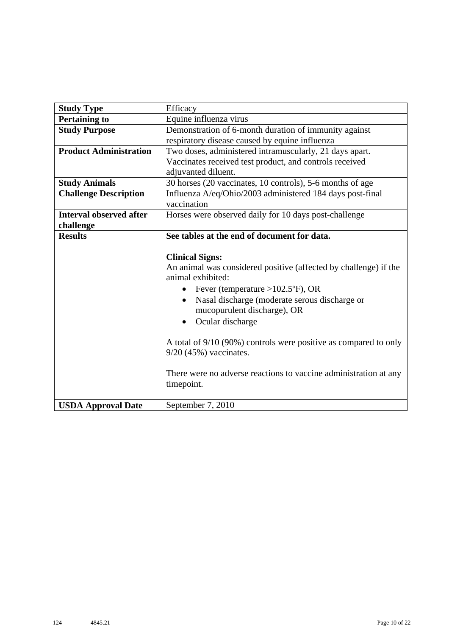| <b>Study Type</b>              | Efficacy                                                         |
|--------------------------------|------------------------------------------------------------------|
| <b>Pertaining to</b>           | Equine influenza virus                                           |
| <b>Study Purpose</b>           | Demonstration of 6-month duration of immunity against            |
|                                | respiratory disease caused by equine influenza                   |
| <b>Product Administration</b>  | Two doses, administered intramuscularly, 21 days apart.          |
|                                | Vaccinates received test product, and controls received          |
|                                | adjuvanted diluent.                                              |
| <b>Study Animals</b>           | 30 horses (20 vaccinates, 10 controls), 5-6 months of age        |
| <b>Challenge Description</b>   | Influenza A/eq/Ohio/2003 administered 184 days post-final        |
|                                | vaccination                                                      |
| <b>Interval observed after</b> | Horses were observed daily for 10 days post-challenge            |
| challenge                      |                                                                  |
| <b>Results</b>                 | See tables at the end of document for data.                      |
|                                |                                                                  |
|                                | <b>Clinical Signs:</b>                                           |
|                                | An animal was considered positive (affected by challenge) if the |
|                                | animal exhibited:                                                |
|                                | Fever (temperature $>102.5$ °F), OR<br>$\bullet$                 |
|                                | Nasal discharge (moderate serous discharge or<br>$\bullet$       |
|                                | mucopurulent discharge), OR                                      |
|                                | Ocular discharge<br>$\bullet$                                    |
|                                |                                                                  |
|                                | A total of 9/10 (90%) controls were positive as compared to only |
|                                | $9/20$ (45%) vaccinates.                                         |
|                                |                                                                  |
|                                | There were no adverse reactions to vaccine administration at any |
|                                | timepoint.                                                       |
|                                |                                                                  |
| <b>USDA Approval Date</b>      | September 7, 2010                                                |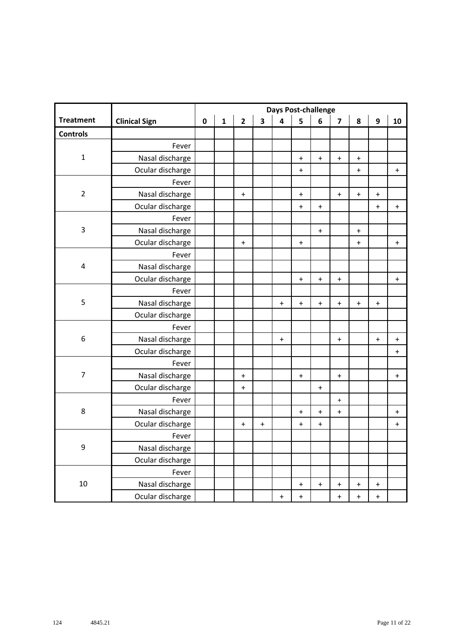|                  |                      |           |              |                |                         |                                  | <b>Days Post-challenge</b>       |                                  |                                  |                                  |                                  |           |
|------------------|----------------------|-----------|--------------|----------------|-------------------------|----------------------------------|----------------------------------|----------------------------------|----------------------------------|----------------------------------|----------------------------------|-----------|
| <b>Treatment</b> | <b>Clinical Sign</b> | $\pmb{0}$ | $\mathbf{1}$ | $\overline{2}$ | $\overline{\mathbf{3}}$ | $\overline{\mathbf{4}}$          | 5                                | 6                                | $\overline{\mathbf{z}}$          | 8                                | $\boldsymbol{9}$                 | 10        |
| <b>Controls</b>  |                      |           |              |                |                         |                                  |                                  |                                  |                                  |                                  |                                  |           |
|                  | Fever                |           |              |                |                         |                                  |                                  |                                  |                                  |                                  |                                  |           |
| $\mathbf 1$      | Nasal discharge      |           |              |                |                         |                                  | $\ddot{}$                        | $\begin{array}{c} + \end{array}$ | $\bf{+}$                         | $\bf +$                          |                                  |           |
|                  | Ocular discharge     |           |              |                |                         |                                  | $\ddot{}$                        |                                  |                                  | $\ddot{}$                        |                                  | $\ddot{}$ |
|                  | Fever                |           |              |                |                         |                                  |                                  |                                  |                                  |                                  |                                  |           |
| $\overline{2}$   | Nasal discharge      |           |              | $\ddot{}$      |                         |                                  | $\ddot{}$                        |                                  | $\mathbf +$                      | $\boldsymbol{+}$                 | $\ddot{}$                        |           |
|                  | Ocular discharge     |           |              |                |                         |                                  | $\ddot{}$                        | $\begin{array}{c} + \end{array}$ |                                  |                                  | $\ddot{}$                        | $\ddot{}$ |
|                  | Fever                |           |              |                |                         |                                  |                                  |                                  |                                  |                                  |                                  |           |
| 3                | Nasal discharge      |           |              |                |                         |                                  |                                  | $\boldsymbol{+}$                 |                                  | $\boldsymbol{+}$                 |                                  |           |
|                  | Ocular discharge     |           |              | $\ddot{}$      |                         |                                  | $\ddot{}$                        |                                  |                                  | $\ddot{}$                        |                                  | $\ddot{}$ |
|                  | Fever                |           |              |                |                         |                                  |                                  |                                  |                                  |                                  |                                  |           |
| 4                | Nasal discharge      |           |              |                |                         |                                  |                                  |                                  |                                  |                                  |                                  |           |
|                  | Ocular discharge     |           |              |                |                         |                                  | $\ddot{}$                        | $\ddot{}$                        | $\ddot{}$                        |                                  |                                  | $\ddag$   |
|                  | Fever                |           |              |                |                         |                                  |                                  |                                  |                                  |                                  |                                  |           |
| 5                | Nasal discharge      |           |              |                |                         | $\ddot{}$                        | $\begin{array}{c} + \end{array}$ | $\begin{array}{c} + \end{array}$ | $\mathbf +$                      | $\ddot{}$                        | $\ddot{}$                        |           |
|                  | Ocular discharge     |           |              |                |                         |                                  |                                  |                                  |                                  |                                  |                                  |           |
|                  | Fever                |           |              |                |                         |                                  |                                  |                                  |                                  |                                  |                                  |           |
| 6                | Nasal discharge      |           |              |                |                         | $\ddot{}$                        |                                  |                                  | $\begin{array}{c} + \end{array}$ |                                  | $\ddot{}$                        | $\ddot{}$ |
|                  | Ocular discharge     |           |              |                |                         |                                  |                                  |                                  |                                  |                                  |                                  | $\ddag$   |
|                  | Fever                |           |              |                |                         |                                  |                                  |                                  |                                  |                                  |                                  |           |
| $\overline{7}$   | Nasal discharge      |           |              | $\ddot{}$      |                         |                                  | $\ddot{}$                        |                                  | $\ddagger$                       |                                  |                                  | $\ddot{}$ |
|                  | Ocular discharge     |           |              | $\ddot{}$      |                         |                                  |                                  | $\ddot{}$                        |                                  |                                  |                                  |           |
|                  | Fever                |           |              |                |                         |                                  |                                  |                                  | $\pm$                            |                                  |                                  |           |
| $\,8\,$          | Nasal discharge      |           |              |                |                         |                                  | $\ddot{}$                        | $\begin{array}{c} + \end{array}$ | $\ddagger$                       |                                  |                                  | $\ddot{}$ |
|                  | Ocular discharge     |           |              | $\pmb{+}$      | $\ddot{}$               |                                  | $\ddot{}$                        | $\begin{array}{c} + \end{array}$ |                                  |                                  |                                  | $\ddag$   |
|                  | Fever                |           |              |                |                         |                                  |                                  |                                  |                                  |                                  |                                  |           |
| 9                | Nasal discharge      |           |              |                |                         |                                  |                                  |                                  |                                  |                                  |                                  |           |
|                  | Ocular discharge     |           |              |                |                         |                                  |                                  |                                  |                                  |                                  |                                  |           |
|                  | Fever                |           |              |                |                         |                                  |                                  |                                  |                                  |                                  |                                  |           |
| 10               | Nasal discharge      |           |              |                |                         |                                  | $\ddot{}$                        | $\begin{array}{c} + \end{array}$ | $\begin{array}{c} + \end{array}$ | $\pmb{+}$                        | $\ddot{}$                        |           |
|                  | Ocular discharge     |           |              |                |                         | $\begin{array}{c} + \end{array}$ | $\ddot{}$                        |                                  | $\begin{array}{c} + \end{array}$ | $\begin{array}{c} + \end{array}$ | $\begin{array}{c} + \end{array}$ |           |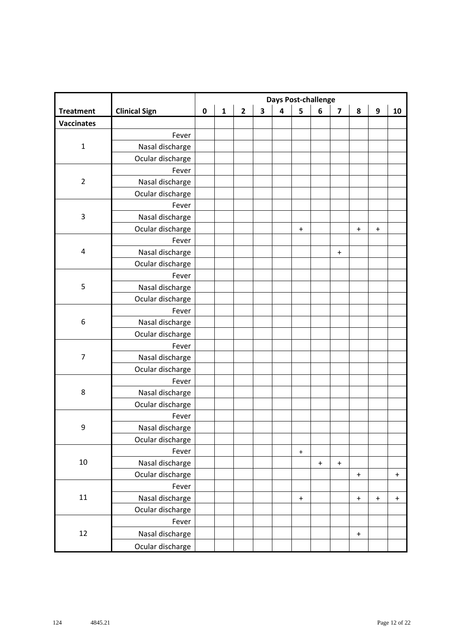|                   |                      | <b>Days Post-challenge</b> |              |                |                         |                         |                  |           |                                  |                                  |                                  |             |  |
|-------------------|----------------------|----------------------------|--------------|----------------|-------------------------|-------------------------|------------------|-----------|----------------------------------|----------------------------------|----------------------------------|-------------|--|
| <b>Treatment</b>  | <b>Clinical Sign</b> | $\pmb{0}$                  | $\mathbf{1}$ | $\overline{2}$ | $\overline{\mathbf{3}}$ | $\overline{\mathbf{4}}$ | 5                | 6         | $\overline{\mathbf{z}}$          | 8                                | 9                                | 10          |  |
| <b>Vaccinates</b> |                      |                            |              |                |                         |                         |                  |           |                                  |                                  |                                  |             |  |
|                   | Fever                |                            |              |                |                         |                         |                  |           |                                  |                                  |                                  |             |  |
| $\mathbf 1$       | Nasal discharge      |                            |              |                |                         |                         |                  |           |                                  |                                  |                                  |             |  |
|                   | Ocular discharge     |                            |              |                |                         |                         |                  |           |                                  |                                  |                                  |             |  |
|                   | Fever                |                            |              |                |                         |                         |                  |           |                                  |                                  |                                  |             |  |
| $\overline{2}$    | Nasal discharge      |                            |              |                |                         |                         |                  |           |                                  |                                  |                                  |             |  |
|                   | Ocular discharge     |                            |              |                |                         |                         |                  |           |                                  |                                  |                                  |             |  |
|                   | Fever                |                            |              |                |                         |                         |                  |           |                                  |                                  |                                  |             |  |
| $\mathsf 3$       | Nasal discharge      |                            |              |                |                         |                         |                  |           |                                  |                                  |                                  |             |  |
|                   | Ocular discharge     |                            |              |                |                         |                         | $\ddot{}$        |           |                                  | $\ddot{}$                        | $\ddot{}$                        |             |  |
|                   | Fever                |                            |              |                |                         |                         |                  |           |                                  |                                  |                                  |             |  |
| 4                 | Nasal discharge      |                            |              |                |                         |                         |                  |           | $\begin{array}{c} + \end{array}$ |                                  |                                  |             |  |
|                   | Ocular discharge     |                            |              |                |                         |                         |                  |           |                                  |                                  |                                  |             |  |
|                   | Fever                |                            |              |                |                         |                         |                  |           |                                  |                                  |                                  |             |  |
| $\mathsf S$       | Nasal discharge      |                            |              |                |                         |                         |                  |           |                                  |                                  |                                  |             |  |
|                   | Ocular discharge     |                            |              |                |                         |                         |                  |           |                                  |                                  |                                  |             |  |
|                   | Fever                |                            |              |                |                         |                         |                  |           |                                  |                                  |                                  |             |  |
| 6                 | Nasal discharge      |                            |              |                |                         |                         |                  |           |                                  |                                  |                                  |             |  |
|                   | Ocular discharge     |                            |              |                |                         |                         |                  |           |                                  |                                  |                                  |             |  |
|                   | Fever                |                            |              |                |                         |                         |                  |           |                                  |                                  |                                  |             |  |
| $\overline{7}$    | Nasal discharge      |                            |              |                |                         |                         |                  |           |                                  |                                  |                                  |             |  |
|                   | Ocular discharge     |                            |              |                |                         |                         |                  |           |                                  |                                  |                                  |             |  |
|                   | Fever                |                            |              |                |                         |                         |                  |           |                                  |                                  |                                  |             |  |
| $\,8\,$           | Nasal discharge      |                            |              |                |                         |                         |                  |           |                                  |                                  |                                  |             |  |
|                   | Ocular discharge     |                            |              |                |                         |                         |                  |           |                                  |                                  |                                  |             |  |
|                   | Fever                |                            |              |                |                         |                         |                  |           |                                  |                                  |                                  |             |  |
| 9                 | Nasal discharge      |                            |              |                |                         |                         |                  |           |                                  |                                  |                                  |             |  |
|                   | Ocular discharge     |                            |              |                |                         |                         |                  |           |                                  |                                  |                                  |             |  |
|                   | Fever                |                            |              |                |                         |                         | $\boldsymbol{+}$ |           |                                  |                                  |                                  |             |  |
| 10                | Nasal discharge      |                            |              |                |                         |                         |                  | $\ddot{}$ | $\mathbf +$                      |                                  |                                  |             |  |
|                   | Ocular discharge     |                            |              |                |                         |                         |                  |           |                                  | $\ddot{}$                        |                                  | $\mathbf +$ |  |
|                   | Fever                |                            |              |                |                         |                         |                  |           |                                  |                                  |                                  |             |  |
| $11\,$            | Nasal discharge      |                            |              |                |                         |                         | $\ddot{}$        |           |                                  | $\begin{array}{c} + \end{array}$ | $\begin{array}{c} + \end{array}$ | $\ddot{}$   |  |
|                   | Ocular discharge     |                            |              |                |                         |                         |                  |           |                                  |                                  |                                  |             |  |
|                   | Fever                |                            |              |                |                         |                         |                  |           |                                  |                                  |                                  |             |  |
| 12                | Nasal discharge      |                            |              |                |                         |                         |                  |           |                                  | $\ddot{}$                        |                                  |             |  |
|                   | Ocular discharge     |                            |              |                |                         |                         |                  |           |                                  |                                  |                                  |             |  |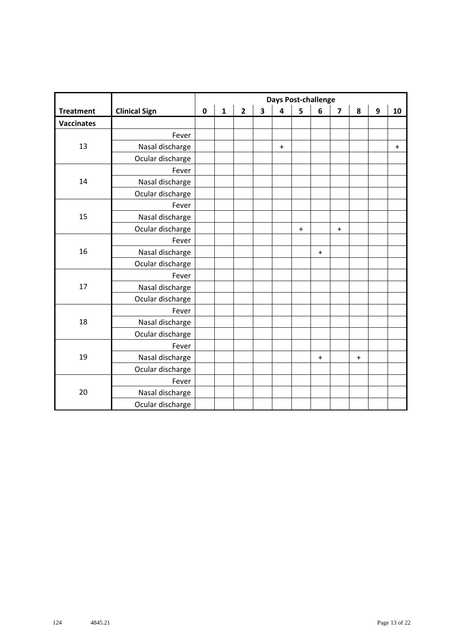|                   |                      | <b>Days Post-challenge</b> |              |                         |                         |                         |           |                                  |                                  |                                  |                  |           |
|-------------------|----------------------|----------------------------|--------------|-------------------------|-------------------------|-------------------------|-----------|----------------------------------|----------------------------------|----------------------------------|------------------|-----------|
| <b>Treatment</b>  | <b>Clinical Sign</b> | $\mathbf 0$                | $\mathbf{1}$ | $\overline{\mathbf{2}}$ | $\overline{\mathbf{3}}$ | $\overline{\mathbf{4}}$ | 5         | 6                                | $\overline{\mathbf{z}}$          | 8                                | $\boldsymbol{9}$ | 10        |
| <b>Vaccinates</b> |                      |                            |              |                         |                         |                         |           |                                  |                                  |                                  |                  |           |
|                   | Fever                |                            |              |                         |                         |                         |           |                                  |                                  |                                  |                  |           |
| 13                | Nasal discharge      |                            |              |                         |                         | $\ddot{}$               |           |                                  |                                  |                                  |                  | $\ddot{}$ |
|                   | Ocular discharge     |                            |              |                         |                         |                         |           |                                  |                                  |                                  |                  |           |
|                   | Fever                |                            |              |                         |                         |                         |           |                                  |                                  |                                  |                  |           |
| 14                | Nasal discharge      |                            |              |                         |                         |                         |           |                                  |                                  |                                  |                  |           |
|                   | Ocular discharge     |                            |              |                         |                         |                         |           |                                  |                                  |                                  |                  |           |
|                   | Fever                |                            |              |                         |                         |                         |           |                                  |                                  |                                  |                  |           |
| 15                | Nasal discharge      |                            |              |                         |                         |                         |           |                                  |                                  |                                  |                  |           |
|                   | Ocular discharge     |                            |              |                         |                         |                         | $\ddot{}$ |                                  | $\begin{array}{c} + \end{array}$ |                                  |                  |           |
|                   | Fever                |                            |              |                         |                         |                         |           |                                  |                                  |                                  |                  |           |
| 16                | Nasal discharge      |                            |              |                         |                         |                         |           | $\ddot{}$                        |                                  |                                  |                  |           |
|                   | Ocular discharge     |                            |              |                         |                         |                         |           |                                  |                                  |                                  |                  |           |
|                   | Fever                |                            |              |                         |                         |                         |           |                                  |                                  |                                  |                  |           |
| 17                | Nasal discharge      |                            |              |                         |                         |                         |           |                                  |                                  |                                  |                  |           |
|                   | Ocular discharge     |                            |              |                         |                         |                         |           |                                  |                                  |                                  |                  |           |
|                   | Fever                |                            |              |                         |                         |                         |           |                                  |                                  |                                  |                  |           |
| 18                | Nasal discharge      |                            |              |                         |                         |                         |           |                                  |                                  |                                  |                  |           |
|                   | Ocular discharge     |                            |              |                         |                         |                         |           |                                  |                                  |                                  |                  |           |
|                   | Fever                |                            |              |                         |                         |                         |           |                                  |                                  |                                  |                  |           |
| 19                | Nasal discharge      |                            |              |                         |                         |                         |           | $\begin{array}{c} + \end{array}$ |                                  | $\begin{array}{c} + \end{array}$ |                  |           |
|                   | Ocular discharge     |                            |              |                         |                         |                         |           |                                  |                                  |                                  |                  |           |
|                   | Fever                |                            |              |                         |                         |                         |           |                                  |                                  |                                  |                  |           |
| 20                | Nasal discharge      |                            |              |                         |                         |                         |           |                                  |                                  |                                  |                  |           |
|                   | Ocular discharge     |                            |              |                         |                         |                         |           |                                  |                                  |                                  |                  |           |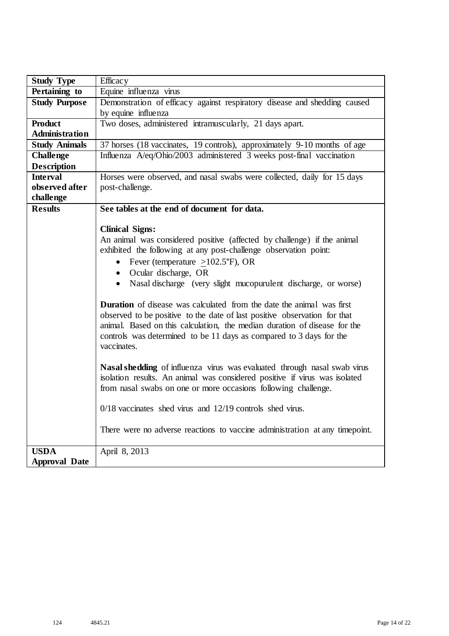| <b>Study Type</b>     | Efficacy                                                                     |
|-----------------------|------------------------------------------------------------------------------|
| Pertaining to         | Equine influenza virus                                                       |
| <b>Study Purpose</b>  | Demonstration of efficacy against respiratory disease and shedding caused    |
|                       | by equine influenza                                                          |
| <b>Product</b>        | Two doses, administered intramuscularly, 21 days apart.                      |
| <b>Administration</b> |                                                                              |
| <b>Study Animals</b>  | 37 horses (18 vaccinates, 19 controls), approximately 9-10 months of age     |
| <b>Challenge</b>      | Influenza A/eq/Ohio/2003 administered 3 weeks post-final vaccination         |
| <b>Description</b>    |                                                                              |
| <b>Interval</b>       | Horses were observed, and nasal swabs were collected, daily for 15 days      |
| observed after        | post-challenge.                                                              |
| challenge             |                                                                              |
| <b>Results</b>        | See tables at the end of document for data.                                  |
|                       |                                                                              |
|                       | <b>Clinical Signs:</b>                                                       |
|                       | An animal was considered positive (affected by challenge) if the animal      |
|                       | exhibited the following at any post-challenge observation point:             |
|                       | • Fever (temperature $\geq$ 102.5°F), OR                                     |
|                       | • Ocular discharge, OR                                                       |
|                       | • Nasal discharge (very slight mucopurulent discharge, or worse)             |
|                       | <b>Duration</b> of disease was calculated from the date the animal was first |
|                       | observed to be positive to the date of last positive observation for that    |
|                       | animal. Based on this calculation, the median duration of disease for the    |
|                       | controls was determined to be 11 days as compared to 3 days for the          |
|                       | vaccinates.                                                                  |
|                       |                                                                              |
|                       | Nasal shedding of influenza virus was evaluated through nasal swab virus     |
|                       | isolation results. An animal was considered positive if virus was isolated   |
|                       | from nasal swabs on one or more occasions following challenge.               |
|                       |                                                                              |
|                       | $0/18$ vaccinates shed virus and $12/19$ controls shed virus.                |
|                       |                                                                              |
|                       | There were no adverse reactions to vaccine administration at any timepoint.  |
| <b>USDA</b>           | April 8, 2013                                                                |
| <b>Approval Date</b>  |                                                                              |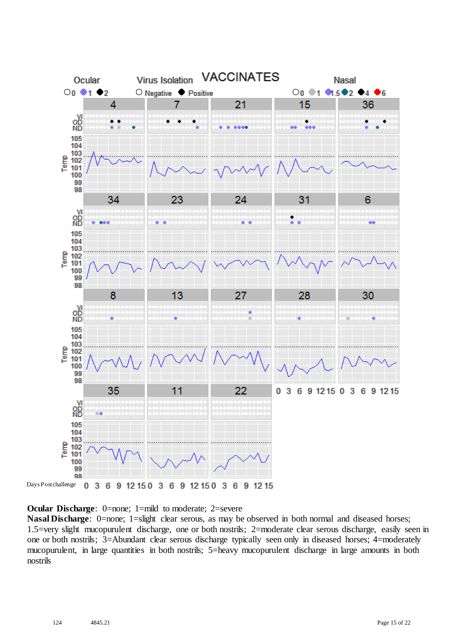

**Ocular Discharge:** 0=none; 1=mild to moderate; 2=severe

**Nasal Discharge**: 0=none; 1=slight clear serous, as may be observed in both normal and diseased horses; 1.5=very slight mucopurulent discharge, one or both nostrils; 2=moderate clear serous discharge, easily seen in one or both nostrils; 3=Abundant clear serous discharge typically seen only in diseased horses; 4=moderately mucopurulent, in large quantities in both nostrils; 5=heavy mucopurulent discharge in large amounts in both nostrils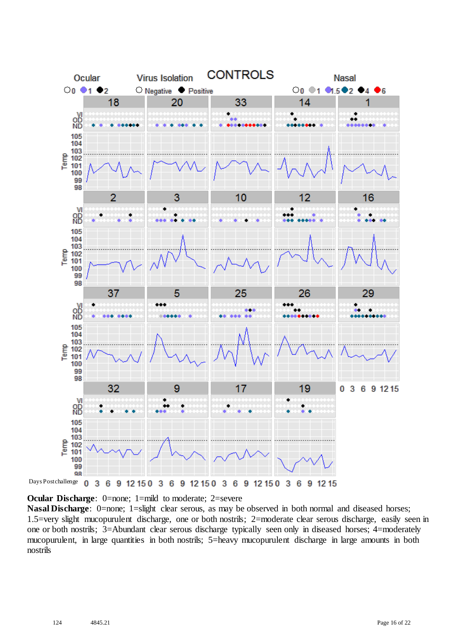

**Ocular Discharge:** 0=none; 1=mild to moderate; 2=severe

**Nasal Discharge**: 0=none; 1=slight clear serous, as may be observed in both normal and diseased horses; 1.5=very slight mucopurulent discharge, one or both nostrils; 2=moderate clear serous discharge, easily seen in one or both nostrils; 3=Abundant clear serous discharge typically seen only in diseased horses; 4=moderately mucopurulent, in large quantities in both nostrils; 5=heavy mucopurulent discharge in large amounts in both nostrils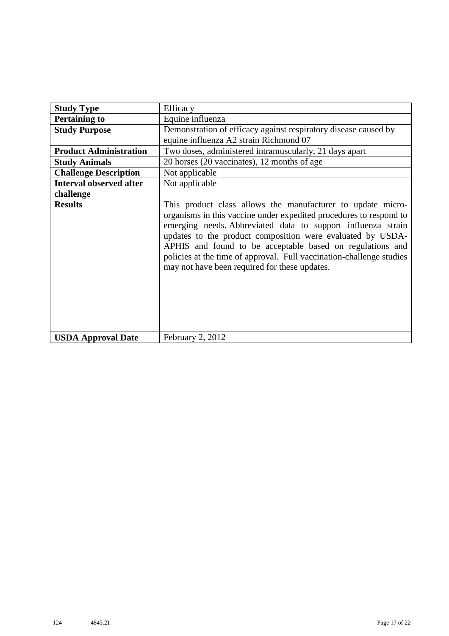| <b>Study Type</b>              | Efficacy                                                                                                                                                                                                                                                                                                                                                                                                                                              |
|--------------------------------|-------------------------------------------------------------------------------------------------------------------------------------------------------------------------------------------------------------------------------------------------------------------------------------------------------------------------------------------------------------------------------------------------------------------------------------------------------|
| <b>Pertaining to</b>           | Equine influenza                                                                                                                                                                                                                                                                                                                                                                                                                                      |
| <b>Study Purpose</b>           | Demonstration of efficacy against respiratory disease caused by<br>equine influenza A2 strain Richmond 07                                                                                                                                                                                                                                                                                                                                             |
| <b>Product Administration</b>  | Two doses, administered intramuscularly, 21 days apart                                                                                                                                                                                                                                                                                                                                                                                                |
| <b>Study Animals</b>           | 20 horses (20 vaccinates), 12 months of age                                                                                                                                                                                                                                                                                                                                                                                                           |
| <b>Challenge Description</b>   | Not applicable                                                                                                                                                                                                                                                                                                                                                                                                                                        |
| <b>Interval observed after</b> | Not applicable                                                                                                                                                                                                                                                                                                                                                                                                                                        |
| challenge                      |                                                                                                                                                                                                                                                                                                                                                                                                                                                       |
| <b>Results</b>                 | This product class allows the manufacturer to update micro-<br>organisms in this vaccine under expedited procedures to respond to<br>emerging needs. Abbreviated data to support influenza strain<br>updates to the product composition were evaluated by USDA-<br>APHIS and found to be acceptable based on regulations and<br>policies at the time of approval. Full vaccination-challenge studies<br>may not have been required for these updates. |
| <b>USDA Approval Date</b>      | February 2, 2012                                                                                                                                                                                                                                                                                                                                                                                                                                      |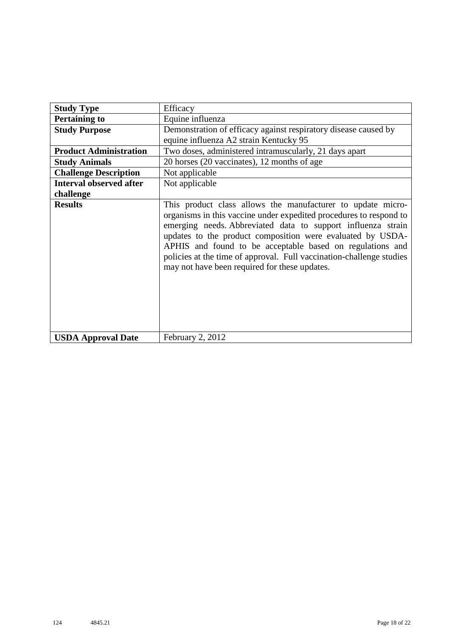| <b>Study Type</b>              | Efficacy                                                                                                                                                                                                                                                                                                                                                                                                                                              |
|--------------------------------|-------------------------------------------------------------------------------------------------------------------------------------------------------------------------------------------------------------------------------------------------------------------------------------------------------------------------------------------------------------------------------------------------------------------------------------------------------|
| <b>Pertaining to</b>           | Equine influenza                                                                                                                                                                                                                                                                                                                                                                                                                                      |
| <b>Study Purpose</b>           | Demonstration of efficacy against respiratory disease caused by                                                                                                                                                                                                                                                                                                                                                                                       |
|                                | equine influenza A2 strain Kentucky 95                                                                                                                                                                                                                                                                                                                                                                                                                |
| <b>Product Administration</b>  | Two doses, administered intramuscularly, 21 days apart                                                                                                                                                                                                                                                                                                                                                                                                |
| <b>Study Animals</b>           | 20 horses (20 vaccinates), 12 months of age                                                                                                                                                                                                                                                                                                                                                                                                           |
| <b>Challenge Description</b>   | Not applicable                                                                                                                                                                                                                                                                                                                                                                                                                                        |
| <b>Interval observed after</b> | Not applicable                                                                                                                                                                                                                                                                                                                                                                                                                                        |
| challenge                      |                                                                                                                                                                                                                                                                                                                                                                                                                                                       |
| <b>Results</b>                 | This product class allows the manufacturer to update micro-<br>organisms in this vaccine under expedited procedures to respond to<br>emerging needs. Abbreviated data to support influenza strain<br>updates to the product composition were evaluated by USDA-<br>APHIS and found to be acceptable based on regulations and<br>policies at the time of approval. Full vaccination-challenge studies<br>may not have been required for these updates. |
| <b>USDA Approval Date</b>      | February 2, 2012                                                                                                                                                                                                                                                                                                                                                                                                                                      |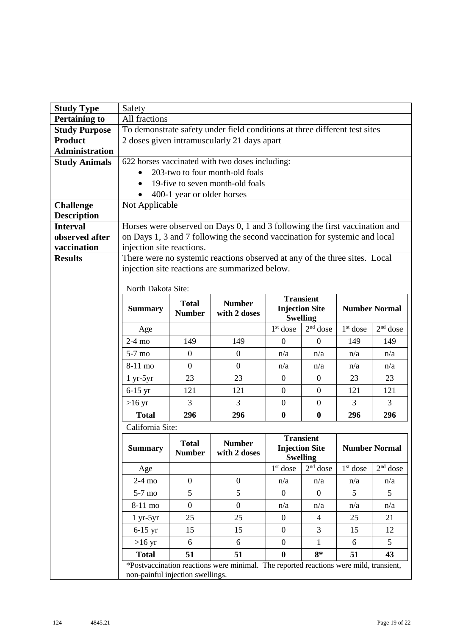| <b>Study Type</b>     | Safety                                                         |                  |                                                                                       |                      |                               |            |                      |  |
|-----------------------|----------------------------------------------------------------|------------------|---------------------------------------------------------------------------------------|----------------------|-------------------------------|------------|----------------------|--|
| <b>Pertaining to</b>  | All fractions                                                  |                  |                                                                                       |                      |                               |            |                      |  |
| <b>Study Purpose</b>  |                                                                |                  | To demonstrate safety under field conditions at three different test sites            |                      |                               |            |                      |  |
| <b>Product</b>        |                                                                |                  | 2 doses given intramuscularly 21 days apart                                           |                      |                               |            |                      |  |
| <b>Administration</b> |                                                                |                  |                                                                                       |                      |                               |            |                      |  |
| <b>Study Animals</b>  | 622 horses vaccinated with two doses including:                |                  |                                                                                       |                      |                               |            |                      |  |
|                       | 203-two to four month-old foals                                |                  |                                                                                       |                      |                               |            |                      |  |
|                       | 19-five to seven month-old foals<br>400-1 year or older horses |                  |                                                                                       |                      |                               |            |                      |  |
| <b>Challenge</b>      | Not Applicable                                                 |                  |                                                                                       |                      |                               |            |                      |  |
| <b>Description</b>    |                                                                |                  |                                                                                       |                      |                               |            |                      |  |
| <b>Interval</b>       |                                                                |                  | Horses were observed on Days 0, 1 and 3 following the first vaccination and           |                      |                               |            |                      |  |
| observed after        |                                                                |                  | on Days 1, 3 and 7 following the second vaccination for systemic and local            |                      |                               |            |                      |  |
| vaccination           | injection site reactions.                                      |                  |                                                                                       |                      |                               |            |                      |  |
| <b>Results</b>        |                                                                |                  | There were no systemic reactions observed at any of the three sites. Local            |                      |                               |            |                      |  |
|                       |                                                                |                  | injection site reactions are summarized below.                                        |                      |                               |            |                      |  |
|                       |                                                                |                  |                                                                                       |                      |                               |            |                      |  |
|                       | North Dakota Site:                                             |                  |                                                                                       |                      | <b>Transient</b>              |            |                      |  |
|                       | <b>Summary</b>                                                 | <b>Total</b>     | <b>Number</b>                                                                         |                      | <b>Injection Site</b>         |            | <b>Number Normal</b> |  |
|                       |                                                                | <b>Number</b>    | with 2 doses                                                                          |                      | <b>Swelling</b>               |            |                      |  |
|                       | Age                                                            |                  |                                                                                       | $1st$ dose           | $2nd$ dose                    | $1st$ dose | $2nd$ dose           |  |
|                       | $2-4$ mo                                                       | 149              | 149                                                                                   | $\theta$             | $\mathbf{0}$                  | 149        | 149                  |  |
|                       | $5-7$ mo                                                       | $\boldsymbol{0}$ | $\mathbf{0}$                                                                          | n/a                  | n/a                           | n/a        | n/a                  |  |
|                       | 8-11 mo                                                        | $\overline{0}$   | $\overline{0}$                                                                        | n/a                  | n/a                           | n/a        | n/a                  |  |
|                       | $1 yr-5yr$                                                     | 23               | 23                                                                                    | $\overline{0}$       | $\mathbf{0}$                  | 23         | 23                   |  |
|                       | $6-15$ yr                                                      | 121              | 121                                                                                   | $\boldsymbol{0}$     | $\mathbf{0}$                  | 121        | 121                  |  |
|                       | $>16 \text{ yr}$                                               | 3                | 3                                                                                     | $\boldsymbol{0}$     | $\mathbf{0}$                  | 3          | 3                    |  |
|                       | <b>Total</b>                                                   | 296              | 296                                                                                   | $\boldsymbol{0}$     | $\boldsymbol{0}$              | 296        | 296                  |  |
|                       | California Site:                                               |                  |                                                                                       |                      |                               |            |                      |  |
|                       |                                                                | <b>Total</b>     | <b>Number</b>                                                                         |                      | <b>Transient</b>              |            |                      |  |
|                       | <b>Summary</b>                                                 | <b>Number</b>    | with 2 doses                                                                          |                      | <b>Injection Site</b>         |            | <b>Number Normal</b> |  |
|                       | Age                                                            |                  |                                                                                       | 1 <sup>st</sup> dose | <b>Swelling</b><br>$2nd$ dose | $1st$ dose | $2nd$ dose           |  |
|                       | $2-4$ mo                                                       | $\overline{0}$   | $\boldsymbol{0}$                                                                      | n/a                  | n/a                           | n/a        | n/a                  |  |
|                       | $5-7$ mo                                                       | 5                | 5                                                                                     | $\mathbf{0}$         | $\theta$                      | 5          | 5                    |  |
|                       | 8-11 mo                                                        | $\boldsymbol{0}$ | $\overline{0}$                                                                        | n/a                  | n/a                           | n/a        | n/a                  |  |
|                       | $1 yr-5yr$                                                     | 25               | 25                                                                                    | $\overline{0}$       | $\overline{4}$                | 25         | 21                   |  |
|                       | $6-15$ yr                                                      | 15               | 15                                                                                    | $\overline{0}$       | 3                             | 15         | 12                   |  |
|                       | $>16 \text{ yr}$                                               | 6                | 6                                                                                     | $\overline{0}$       | $\mathbf{1}$                  | 6          | 5                    |  |
|                       | <b>Total</b>                                                   | 51               | 51                                                                                    | $\bf{0}$             | $8*$                          | 51         | 43                   |  |
|                       |                                                                |                  | *Postvaccination reactions were minimal. The reported reactions were mild, transient, |                      |                               |            |                      |  |
|                       | non-painful injection swellings.                               |                  |                                                                                       |                      |                               |            |                      |  |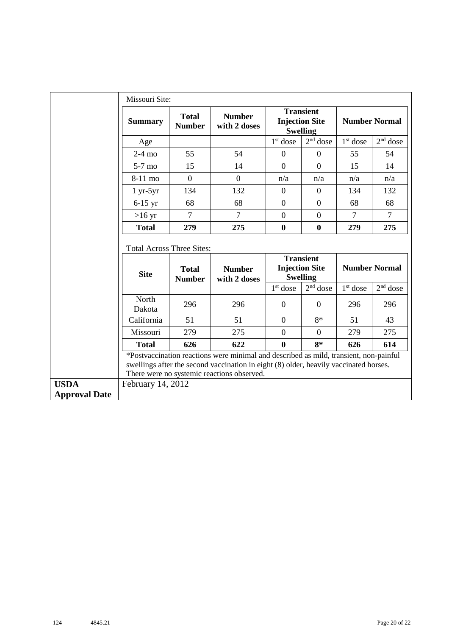|                                     | Missouri Site:                                                                                                                                   |                               |                                                                                                                                                                                                                              |                                                                                          |                |                      |                      |  |  |
|-------------------------------------|--------------------------------------------------------------------------------------------------------------------------------------------------|-------------------------------|------------------------------------------------------------------------------------------------------------------------------------------------------------------------------------------------------------------------------|------------------------------------------------------------------------------------------|----------------|----------------------|----------------------|--|--|
|                                     | <b>Summary</b>                                                                                                                                   | <b>Total</b><br><b>Number</b> | <b>Number</b><br>with 2 doses                                                                                                                                                                                                | <b>Transient</b><br><b>Injection Site</b><br><b>Swelling</b><br>$2nd$ dose<br>$1st$ dose |                | <b>Number Normal</b> |                      |  |  |
|                                     | Age                                                                                                                                              |                               |                                                                                                                                                                                                                              |                                                                                          |                | $1st$ dose           | $2nd$ dose           |  |  |
|                                     | $2-4$ mo                                                                                                                                         | 55                            | 54                                                                                                                                                                                                                           | $\overline{0}$                                                                           | $\Omega$       | 55                   | 54                   |  |  |
|                                     | 5-7 mo                                                                                                                                           | 15                            | 14                                                                                                                                                                                                                           | $\overline{0}$                                                                           | $\overline{0}$ | 15                   | 14                   |  |  |
|                                     | 8-11 mo                                                                                                                                          | $\Omega$                      | $\overline{0}$                                                                                                                                                                                                               | n/a                                                                                      | n/a            | n/a                  | n/a                  |  |  |
|                                     | $1 yr-5yr$                                                                                                                                       | 134                           | 132                                                                                                                                                                                                                          | $\boldsymbol{0}$                                                                         | $\overline{0}$ | 134                  | 132                  |  |  |
|                                     | $6-15$ yr                                                                                                                                        | 68                            | 68                                                                                                                                                                                                                           | $\mathbf{0}$                                                                             | $\overline{0}$ | 68                   | 68                   |  |  |
|                                     | $>16$ yr                                                                                                                                         | $\overline{7}$                | $\overline{7}$                                                                                                                                                                                                               | $\overline{0}$                                                                           | $\overline{0}$ | $\overline{7}$       | $\tau$               |  |  |
|                                     | <b>Total</b>                                                                                                                                     | 279                           | 275                                                                                                                                                                                                                          | $\bf{0}$                                                                                 | $\bf{0}$       | 279                  | 275                  |  |  |
|                                     | <b>Total Across Three Sites:</b><br><b>Transient</b><br><b>Injection Site</b><br><b>Total</b><br><b>Number</b><br><b>Site</b><br><b>Swelling</b> |                               |                                                                                                                                                                                                                              |                                                                                          |                |                      | <b>Number Normal</b> |  |  |
|                                     |                                                                                                                                                  | <b>Number</b>                 | with 2 doses                                                                                                                                                                                                                 |                                                                                          |                |                      |                      |  |  |
|                                     |                                                                                                                                                  |                               |                                                                                                                                                                                                                              | $1st$ dose                                                                               | $2nd$ dose     | 1 <sup>st</sup> dose | $2nd$ dose           |  |  |
|                                     | North<br>Dakota                                                                                                                                  | 296                           | 296                                                                                                                                                                                                                          | $\mathbf{0}$                                                                             | $\theta$       | 296                  | 296                  |  |  |
|                                     | California                                                                                                                                       | 51                            | 51                                                                                                                                                                                                                           | $\overline{0}$                                                                           | $8*$           | 51                   | 43                   |  |  |
|                                     | Missouri                                                                                                                                         | 279                           | 275                                                                                                                                                                                                                          | $\overline{0}$                                                                           | $\overline{0}$ | 279                  | 275                  |  |  |
|                                     | <b>Total</b>                                                                                                                                     | 626                           | 622                                                                                                                                                                                                                          | $\bf{0}$                                                                                 | $8*$           | 626                  | 614                  |  |  |
|                                     |                                                                                                                                                  |                               | *Postvaccination reactions were minimal and described as mild, transient, non-painful<br>swellings after the second vaccination in eight (8) older, heavily vaccinated horses.<br>There were no systemic reactions observed. |                                                                                          |                |                      |                      |  |  |
| <b>USDA</b><br><b>Approval Date</b> | February 14, 2012                                                                                                                                |                               |                                                                                                                                                                                                                              |                                                                                          |                |                      |                      |  |  |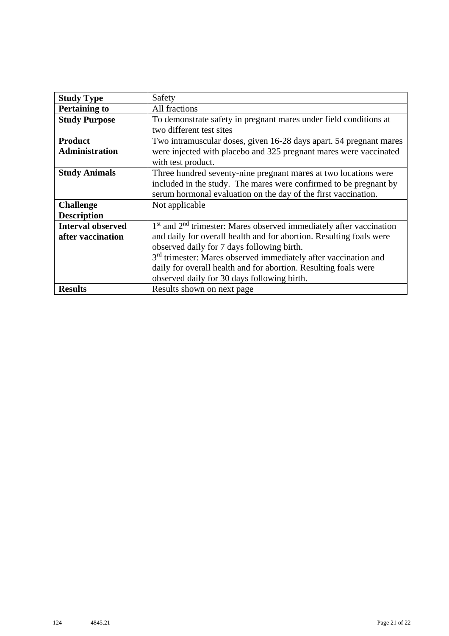| <b>Study Type</b>        | Safety                                                                      |
|--------------------------|-----------------------------------------------------------------------------|
| <b>Pertaining to</b>     | All fractions                                                               |
| <b>Study Purpose</b>     | To demonstrate safety in pregnant mares under field conditions at           |
|                          | two different test sites                                                    |
| <b>Product</b>           | Two intramuscular doses, given 16-28 days apart. 54 pregnant mares          |
| <b>Administration</b>    | were injected with placebo and 325 pregnant mares were vaccinated           |
|                          | with test product.                                                          |
| <b>Study Animals</b>     | Three hundred seventy-nine pregnant mares at two locations were             |
|                          | included in the study. The mares were confirmed to be pregnant by           |
|                          | serum hormonal evaluation on the day of the first vaccination.              |
| <b>Challenge</b>         | Not applicable                                                              |
| <b>Description</b>       |                                                                             |
| <b>Interval observed</b> | $1st$ and $2nd$ trimester: Mares observed immediately after vaccination     |
| after vaccination        | and daily for overall health and for abortion. Resulting foals were         |
|                          | observed daily for 7 days following birth.                                  |
|                          | 3 <sup>rd</sup> trimester: Mares observed immediately after vaccination and |
|                          | daily for overall health and for abortion. Resulting foals were             |
|                          | observed daily for 30 days following birth.                                 |
| <b>Results</b>           | Results shown on next page                                                  |